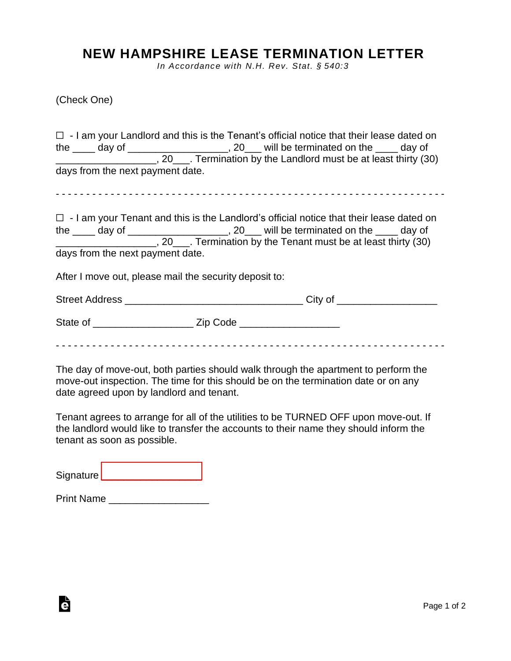## **NEW HAMPSHIRE LEASE TERMINATION LETTER**

*In Accordance with N.H. Rev. Stat. § 540:3*

(Check One)

|                                  |                                                        | $\Box$ - I am your Landlord and this is the Tenant's official notice that their lease dated on<br>the ____ day of _____________________, 20___ will be terminated on the ____ day of<br>_______________________, 20____. Termination by the Landlord must be at least thirty (30)      |
|----------------------------------|--------------------------------------------------------|----------------------------------------------------------------------------------------------------------------------------------------------------------------------------------------------------------------------------------------------------------------------------------------|
| days from the next payment date. |                                                        |                                                                                                                                                                                                                                                                                        |
|                                  |                                                        |                                                                                                                                                                                                                                                                                        |
| days from the next payment date. |                                                        | $\Box$ - I am your Tenant and this is the Landlord's official notice that their lease dated on<br>the ____ day of ______________________, 20___ will be terminated on the ____ day of<br>____________________________, 20_____. Termination by the Tenant must be at least thirty (30) |
|                                  | After I move out, please mail the security deposit to: |                                                                                                                                                                                                                                                                                        |
|                                  |                                                        |                                                                                                                                                                                                                                                                                        |
|                                  |                                                        |                                                                                                                                                                                                                                                                                        |
|                                  |                                                        |                                                                                                                                                                                                                                                                                        |

The day of move-out, both parties should walk through the apartment to perform the move-out inspection. The time for this should be on the termination date or on any date agreed upon by landlord and tenant.

Tenant agrees to arrange for all of the utilities to be TURNED OFF upon move-out. If the landlord would like to transfer the accounts to their name they should inform the tenant as soon as possible.

Signature [\\_\\_\\_\\_\\_\\_\\_\\_\\_\\_\\_\\_\\_\\_\\_\\_\\_\\_](https://esign.com)\_\_\_\_

è

Print Name \_\_\_\_\_\_\_\_\_\_\_\_\_\_\_\_\_\_